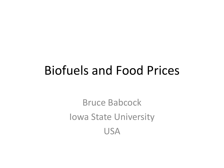## Biofuels and Food Prices

Bruce Babcock Iowa State University USA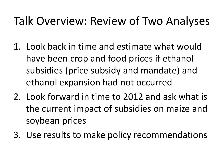## Talk Overview: Review of Two Analyses

- 1. Look back in time and estimate what would have been crop and food prices if ethanol subsidies (price subsidy and mandate) and ethanol expansion had not occurred
- 2. Look forward in time to 2012 and ask what is the current impact of subsidies on maize and soybean prices
- 3. Use results to make policy recommendations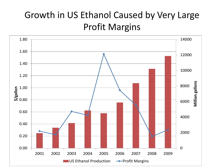### Growth in US Ethanol Caused by Very Large Profit Margins

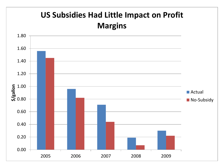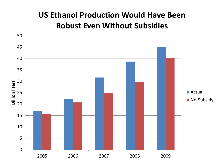#### **US Ethanol Production Would Have Been Robust Even Without Subsidies**

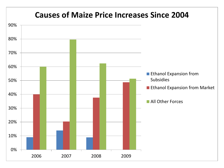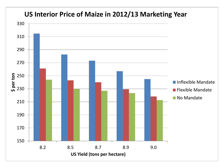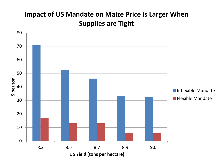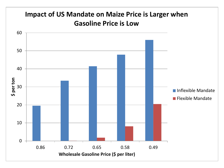